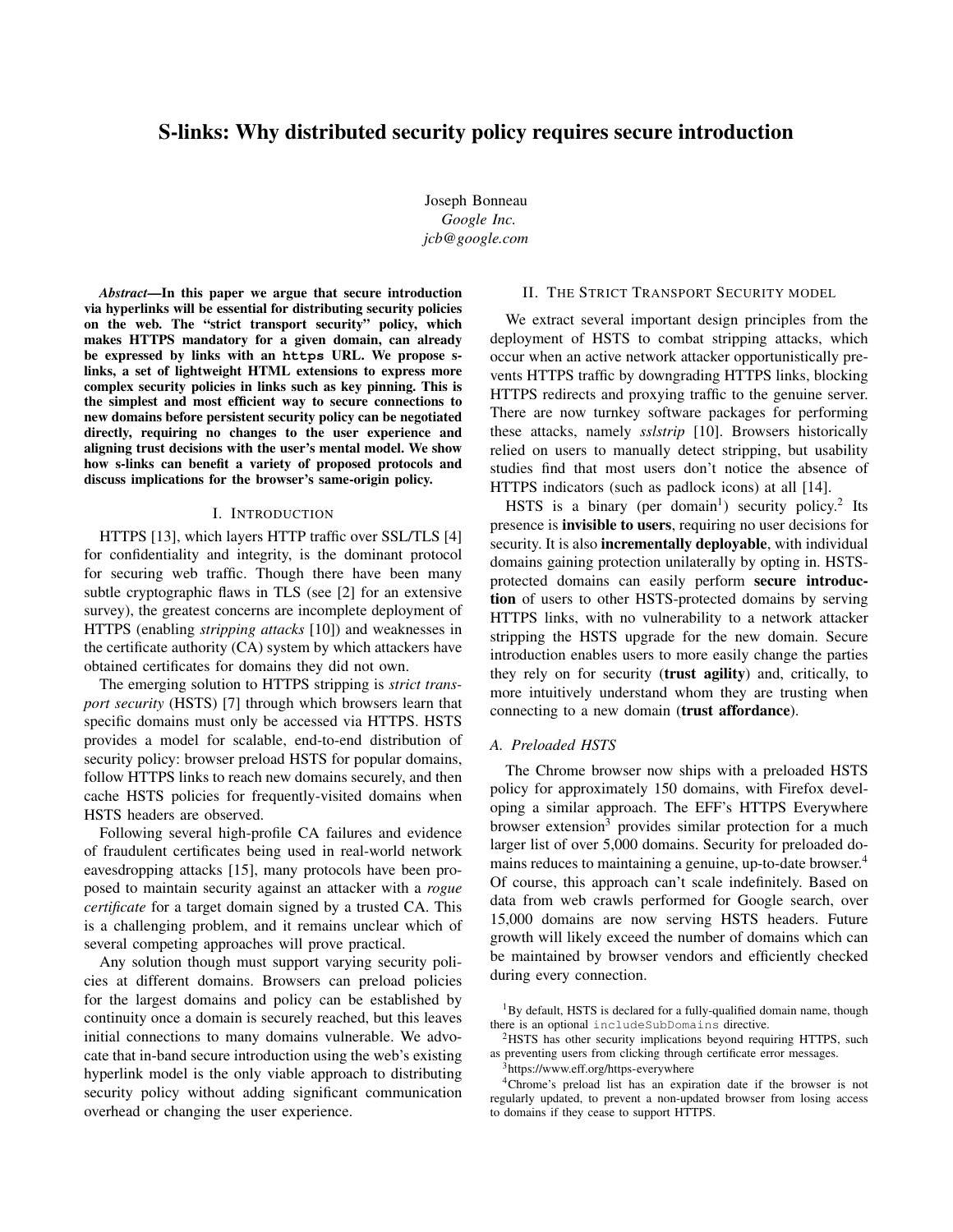# S-links: Why distributed security policy requires secure introduction

Joseph Bonneau *Google Inc. <jcb@google.com>*

*Abstract*—In this paper we argue that secure introduction via hyperlinks will be essential for distributing security policies on the web. The "strict transport security" policy, which makes HTTPS mandatory for a given domain, can already be expressed by links with an **https** URL. We propose slinks, a set of lightweight HTML extensions to express more complex security policies in links such as key pinning. This is the simplest and most efficient way to secure connections to new domains before persistent security policy can be negotiated directly, requiring no changes to the user experience and aligning trust decisions with the user's mental model. We show how s-links can benefit a variety of proposed protocols and discuss implications for the browser's same-origin policy.

### I. INTRODUCTION

HTTPS [\[13\]](#page-3-0), which layers HTTP traffic over SSL/TLS [\[4\]](#page-3-1) for confidentiality and integrity, is the dominant protocol for securing web traffic. Though there have been many subtle cryptographic flaws in TLS (see [\[2\]](#page-3-2) for an extensive survey), the greatest concerns are incomplete deployment of HTTPS (enabling *stripping attacks* [\[10\]](#page-3-3)) and weaknesses in the certificate authority (CA) system by which attackers have obtained certificates for domains they did not own.

The emerging solution to HTTPS stripping is *strict transport security* (HSTS) [\[7\]](#page-3-4) through which browsers learn that specific domains must only be accessed via HTTPS. HSTS provides a model for scalable, end-to-end distribution of security policy: browser preload HSTS for popular domains, follow HTTPS links to reach new domains securely, and then cache HSTS policies for frequently-visited domains when HSTS headers are observed.

Following several high-profile CA failures and evidence of fraudulent certificates being used in real-world network eavesdropping attacks [\[15\]](#page-3-5), many protocols have been proposed to maintain security against an attacker with a *rogue certificate* for a target domain signed by a trusted CA. This is a challenging problem, and it remains unclear which of several competing approaches will prove practical.

Any solution though must support varying security policies at different domains. Browsers can preload policies for the largest domains and policy can be established by continuity once a domain is securely reached, but this leaves initial connections to many domains vulnerable. We advocate that in-band secure introduction using the web's existing hyperlink model is the only viable approach to distributing security policy without adding significant communication overhead or changing the user experience.

# II. THE STRICT TRANSPORT SECURITY MODEL

We extract several important design principles from the deployment of HSTS to combat stripping attacks, which occur when an active network attacker opportunistically prevents HTTPS traffic by downgrading HTTPS links, blocking HTTPS redirects and proxying traffic to the genuine server. There are now turnkey software packages for performing these attacks, namely *sslstrip* [\[10\]](#page-3-3). Browsers historically relied on users to manually detect stripping, but usability studies find that most users don't notice the absence of HTTPS indicators (such as padlock icons) at all [\[14\]](#page-3-6).

HSTS is a binary (per domain<sup>[1](#page-0-0)</sup>) security policy.<sup>[2](#page-0-1)</sup> Its presence is invisible to users, requiring no user decisions for security. It is also **incrementally deployable**, with individual domains gaining protection unilaterally by opting in. HSTSprotected domains can easily perform secure introduction of users to other HSTS-protected domains by serving HTTPS links, with no vulnerability to a network attacker stripping the HSTS upgrade for the new domain. Secure introduction enables users to more easily change the parties they rely on for security (trust agility) and, critically, to more intuitively understand whom they are trusting when connecting to a new domain (trust affordance).

#### *A. Preloaded HSTS*

The Chrome browser now ships with a preloaded HSTS policy for approximately 150 domains, with Firefox developing a similar approach. The EFF's HTTPS Everywhere browser extension<sup>[3](#page-0-2)</sup> provides similar protection for a much larger list of over 5,000 domains. Security for preloaded do-mains reduces to maintaining a genuine, up-to-date browser.<sup>[4](#page-0-3)</sup> Of course, this approach can't scale indefinitely. Based on data from web crawls performed for Google search, over 15,000 domains are now serving HSTS headers. Future growth will likely exceed the number of domains which can be maintained by browser vendors and efficiently checked during every connection.

<span id="page-0-0"></span><sup>1</sup>By default, HSTS is declared for a fully-qualified domain name, though there is an optional includeSubDomains directive.

<span id="page-0-1"></span><sup>2</sup>HSTS has other security implications beyond requiring HTTPS, such as preventing users from clicking through certificate error messages.

<span id="page-0-3"></span><span id="page-0-2"></span><sup>3</sup><https://www.eff.org/https-everywhere>

<sup>4</sup>Chrome's preload list has an expiration date if the browser is not regularly updated, to prevent a non-updated browser from losing access to domains if they cease to support HTTPS.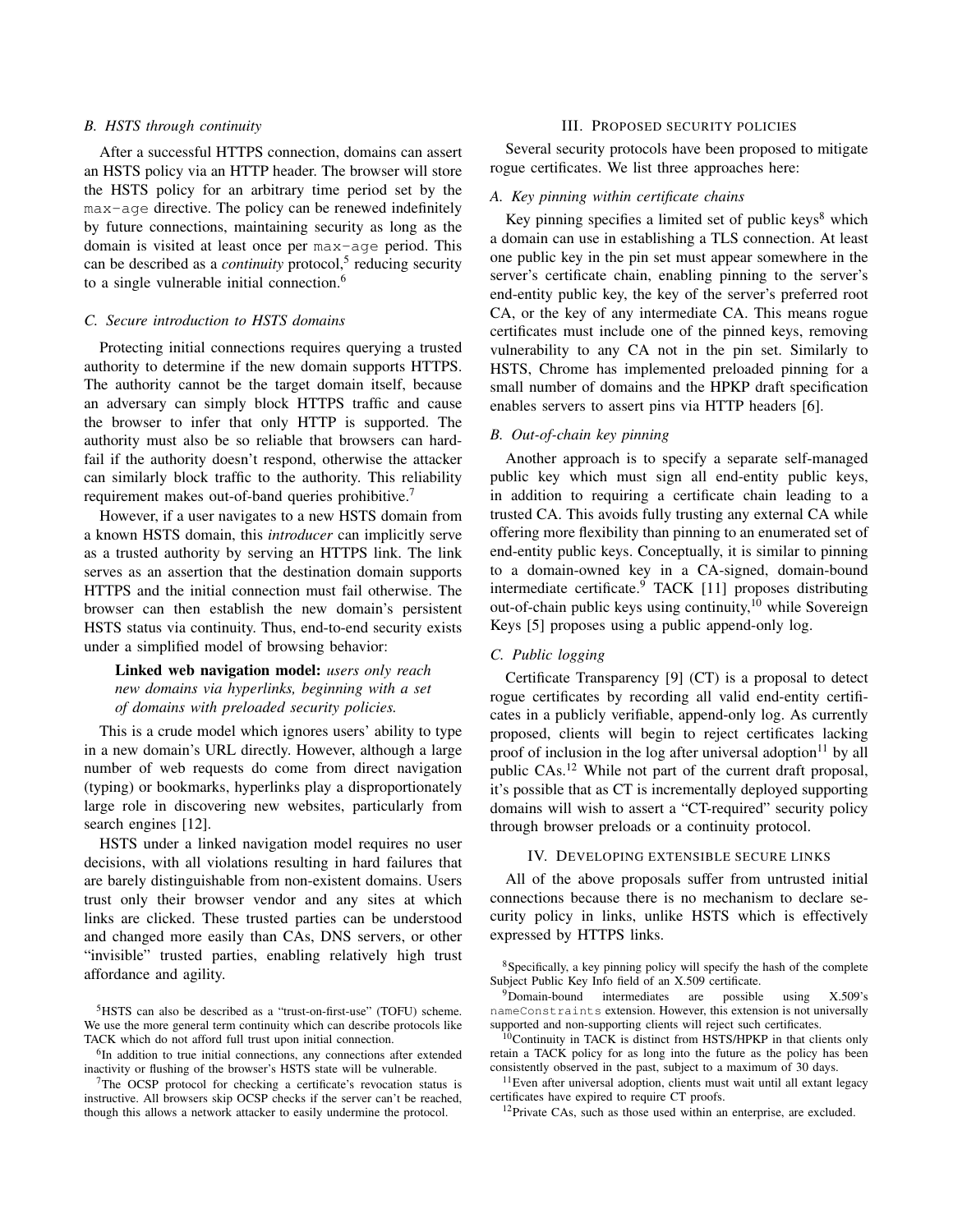### *B. HSTS through continuity*

After a successful HTTPS connection, domains can assert an HSTS policy via an HTTP header. The browser will store the HSTS policy for an arbitrary time period set by the max-age directive. The policy can be renewed indefinitely by future connections, maintaining security as long as the domain is visited at least once per max-age period. This can be described as a *continuity* protocol,<sup>[5](#page-1-0)</sup> reducing security to a single vulnerable initial connection.<sup>[6](#page-1-1)</sup>

#### *C. Secure introduction to HSTS domains*

Protecting initial connections requires querying a trusted authority to determine if the new domain supports HTTPS. The authority cannot be the target domain itself, because an adversary can simply block HTTPS traffic and cause the browser to infer that only HTTP is supported. The authority must also be so reliable that browsers can hardfail if the authority doesn't respond, otherwise the attacker can similarly block traffic to the authority. This reliability requirement makes out-of-band queries prohibitive.<sup>[7](#page-1-2)</sup>

However, if a user navigates to a new HSTS domain from a known HSTS domain, this *introducer* can implicitly serve as a trusted authority by serving an HTTPS link. The link serves as an assertion that the destination domain supports HTTPS and the initial connection must fail otherwise. The browser can then establish the new domain's persistent HSTS status via continuity. Thus, end-to-end security exists under a simplified model of browsing behavior:

# Linked web navigation model: *users only reach new domains via hyperlinks, beginning with a set of domains with preloaded security policies.*

This is a crude model which ignores users' ability to type in a new domain's URL directly. However, although a large number of web requests do come from direct navigation (typing) or bookmarks, hyperlinks play a disproportionately large role in discovering new websites, particularly from search engines [\[12\]](#page-3-7).

HSTS under a linked navigation model requires no user decisions, with all violations resulting in hard failures that are barely distinguishable from non-existent domains. Users trust only their browser vendor and any sites at which links are clicked. These trusted parties can be understood and changed more easily than CAs, DNS servers, or other "invisible" trusted parties, enabling relatively high trust affordance and agility.

#### III. PROPOSED SECURITY POLICIES

Several security protocols have been proposed to mitigate rogue certificates. We list three approaches here:

#### *A. Key pinning within certificate chains*

Key pinning specifies a limited set of public keys $8$  which a domain can use in establishing a TLS connection. At least one public key in the pin set must appear somewhere in the server's certificate chain, enabling pinning to the server's end-entity public key, the key of the server's preferred root CA, or the key of any intermediate CA. This means rogue certificates must include one of the pinned keys, removing vulnerability to any CA not in the pin set. Similarly to HSTS, Chrome has implemented preloaded pinning for a small number of domains and the HPKP draft specification enables servers to assert pins via HTTP headers [\[6\]](#page-3-8).

# *B. Out-of-chain key pinning*

Another approach is to specify a separate self-managed public key which must sign all end-entity public keys, in addition to requiring a certificate chain leading to a trusted CA. This avoids fully trusting any external CA while offering more flexibility than pinning to an enumerated set of end-entity public keys. Conceptually, it is similar to pinning to a domain-owned key in a CA-signed, domain-bound intermediate certificate.<sup>[9](#page-1-4)</sup> TACK [\[11\]](#page-3-9) proposes distributing out-of-chain public keys using continuity,<sup>[10](#page-1-5)</sup> while Sovereign Keys [\[5\]](#page-3-10) proposes using a public append-only log.

# *C. Public logging*

Certificate Transparency [\[9\]](#page-3-11) (CT) is a proposal to detect rogue certificates by recording all valid end-entity certificates in a publicly verifiable, append-only log. As currently proposed, clients will begin to reject certificates lacking proof of inclusion in the log after universal adoption $11$  by all public CAs.[12](#page-1-7) While not part of the current draft proposal, it's possible that as CT is incrementally deployed supporting domains will wish to assert a "CT-required" security policy through browser preloads or a continuity protocol.

#### IV. DEVELOPING EXTENSIBLE SECURE LINKS

All of the above proposals suffer from untrusted initial connections because there is no mechanism to declare security policy in links, unlike HSTS which is effectively expressed by HTTPS links.

<span id="page-1-0"></span><sup>5</sup>HSTS can also be described as a "trust-on-first-use" (TOFU) scheme. We use the more general term continuity which can describe protocols like TACK which do not afford full trust upon initial connection.

<span id="page-1-1"></span><sup>&</sup>lt;sup>6</sup>In addition to true initial connections, any connections after extended inactivity or flushing of the browser's HSTS state will be vulnerable.

<span id="page-1-2"></span><sup>&</sup>lt;sup>7</sup>The OCSP protocol for checking a certificate's revocation status is instructive. All browsers skip OCSP checks if the server can't be reached, though this allows a network attacker to easily undermine the protocol.

<span id="page-1-3"></span><sup>8</sup>Specifically, a key pinning policy will specify the hash of the complete Subject Public Key Info field of an X.509 certificate.

<span id="page-1-4"></span><sup>9</sup>Domain-bound intermediates are possible using X.509's nameConstraints extension. However, this extension is not universally supported and non-supporting clients will reject such certificates.

<span id="page-1-5"></span><sup>10</sup>Continuity in TACK is distinct from HSTS/HPKP in that clients only retain a TACK policy for as long into the future as the policy has been consistently observed in the past, subject to a maximum of 30 days.

<span id="page-1-6"></span><sup>&</sup>lt;sup>11</sup>Even after universal adoption, clients must wait until all extant legacy certificates have expired to require CT proofs.

<span id="page-1-7"></span><sup>&</sup>lt;sup>12</sup>Private CAs, such as those used within an enterprise, are excluded.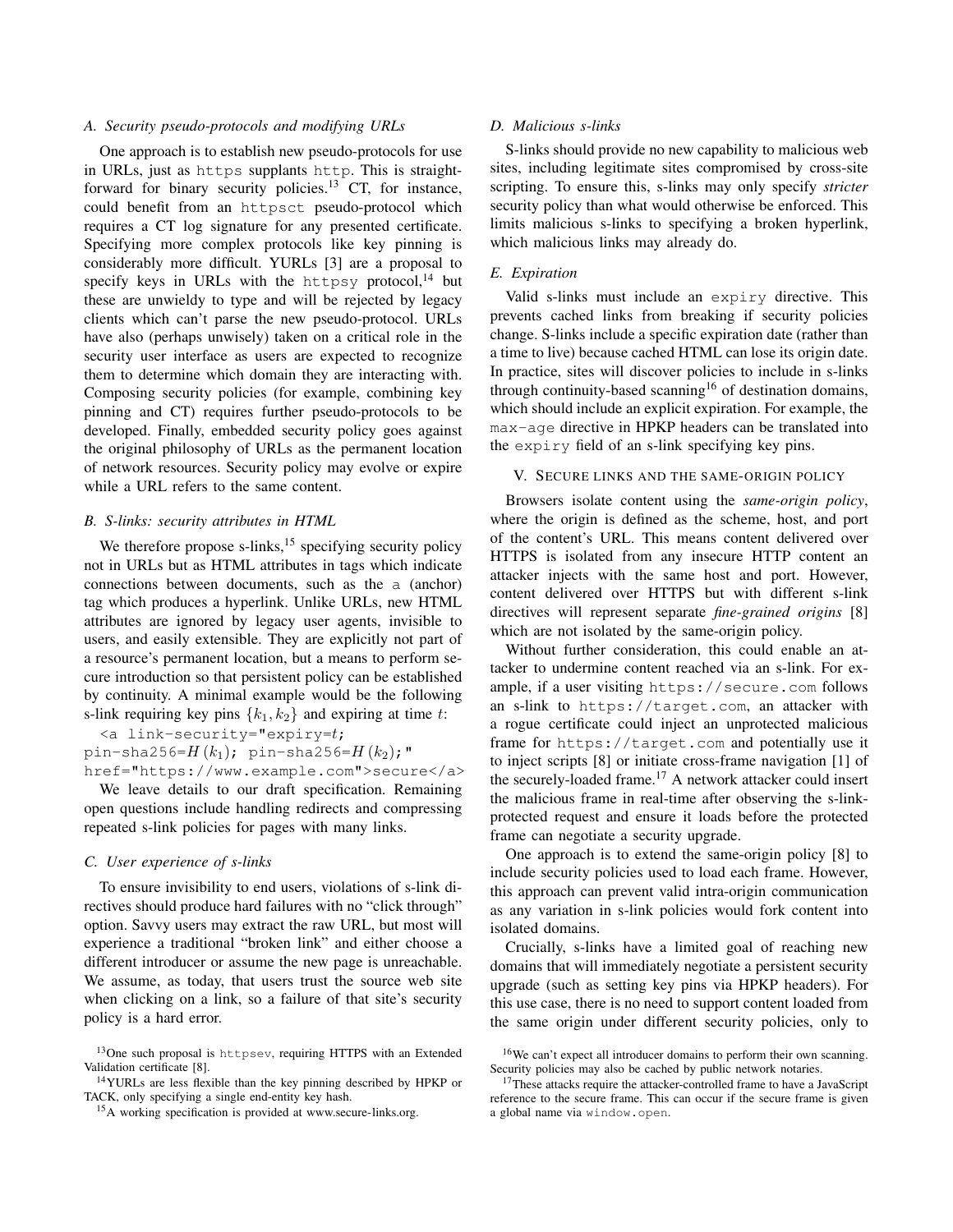# *A. Security pseudo-protocols and modifying URLs*

One approach is to establish new pseudo-protocols for use in URLs, just as https supplants http. This is straight-forward for binary security policies.<sup>[13](#page-2-0)</sup> CT, for instance, could benefit from an httpsct pseudo-protocol which requires a CT log signature for any presented certificate. Specifying more complex protocols like key pinning is considerably more difficult. YURLs [\[3\]](#page-3-12) are a proposal to specify keys in URLs with the httpsy protocol, $^{14}$  $^{14}$  $^{14}$  but these are unwieldy to type and will be rejected by legacy clients which can't parse the new pseudo-protocol. URLs have also (perhaps unwisely) taken on a critical role in the security user interface as users are expected to recognize them to determine which domain they are interacting with. Composing security policies (for example, combining key pinning and CT) requires further pseudo-protocols to be developed. Finally, embedded security policy goes against the original philosophy of URLs as the permanent location of network resources. Security policy may evolve or expire while a URL refers to the same content.

# *B. S-links: security attributes in HTML*

We therefore propose s-links, $15$  specifying security policy not in URLs but as HTML attributes in tags which indicate connections between documents, such as the a (anchor) tag which produces a hyperlink. Unlike URLs, new HTML attributes are ignored by legacy user agents, invisible to users, and easily extensible. They are explicitly not part of a resource's permanent location, but a means to perform secure introduction so that persistent policy can be established by continuity. A minimal example would be the following s-link requiring key pins  $\{k_1, k_2\}$  and expiring at time t:

 $\langle a \rangle$  link-security="expiry= $t$ ;

pin-sha256= $H(k_1)$ ; pin-sha256= $H(k_2)$ ; "

href="https://www.example.com">secure</a> We leave details to our draft specification. Remaining open questions include handling redirects and compressing repeated s-link policies for pages with many links.

#### *C. User experience of s-links*

To ensure invisibility to end users, violations of s-link directives should produce hard failures with no "click through" option. Savvy users may extract the raw URL, but most will experience a traditional "broken link" and either choose a different introducer or assume the new page is unreachable. We assume, as today, that users trust the source web site when clicking on a link, so a failure of that site's security policy is a hard error.

#### *D. Malicious s-links*

S-links should provide no new capability to malicious web sites, including legitimate sites compromised by cross-site scripting. To ensure this, s-links may only specify *stricter* security policy than what would otherwise be enforced. This limits malicious s-links to specifying a broken hyperlink, which malicious links may already do.

# *E. Expiration*

Valid s-links must include an expiry directive. This prevents cached links from breaking if security policies change. S-links include a specific expiration date (rather than a time to live) because cached HTML can lose its origin date. In practice, sites will discover policies to include in s-links through continuity-based scanning<sup>[16](#page-2-3)</sup> of destination domains, which should include an explicit expiration. For example, the max-age directive in HPKP headers can be translated into the expiry field of an s-link specifying key pins.

### V. SECURE LINKS AND THE SAME-ORIGIN POLICY

Browsers isolate content using the *same-origin policy*, where the origin is defined as the scheme, host, and port of the content's URL. This means content delivered over HTTPS is isolated from any insecure HTTP content an attacker injects with the same host and port. However, content delivered over HTTPS but with different s-link directives will represent separate *fine-grained origins* [\[8\]](#page-3-13) which are not isolated by the same-origin policy.

Without further consideration, this could enable an attacker to undermine content reached via an s-link. For example, if a user visiting https://secure.com follows an s-link to https://target.com, an attacker with a rogue certificate could inject an unprotected malicious frame for https://target.com and potentially use it to inject scripts [\[8\]](#page-3-13) or initiate cross-frame navigation [\[1\]](#page-3-14) of the securely-loaded frame.[17](#page-2-4) A network attacker could insert the malicious frame in real-time after observing the s-linkprotected request and ensure it loads before the protected frame can negotiate a security upgrade.

One approach is to extend the same-origin policy [\[8\]](#page-3-13) to include security policies used to load each frame. However, this approach can prevent valid intra-origin communication as any variation in s-link policies would fork content into isolated domains.

Crucially, s-links have a limited goal of reaching new domains that will immediately negotiate a persistent security upgrade (such as setting key pins via HPKP headers). For this use case, there is no need to support content loaded from the same origin under different security policies, only to

<span id="page-2-0"></span><sup>13</sup>One such proposal is httpsev, requiring HTTPS with an Extended Validation certificate [\[8\]](#page-3-13).

<span id="page-2-1"></span><sup>14</sup>YURLs are less flexible than the key pinning described by HPKP or TACK, only specifying a single end-entity key hash.

<span id="page-2-2"></span><sup>15</sup>A working specification is provided at [www.secure-links.org.](www.secure-links.org)

<span id="page-2-3"></span><sup>16</sup>We can't expect all introducer domains to perform their own scanning. Security policies may also be cached by public network notaries.

<span id="page-2-4"></span><sup>&</sup>lt;sup>17</sup>These attacks require the attacker-controlled frame to have a JavaScript reference to the secure frame. This can occur if the secure frame is given a global name via window.open.